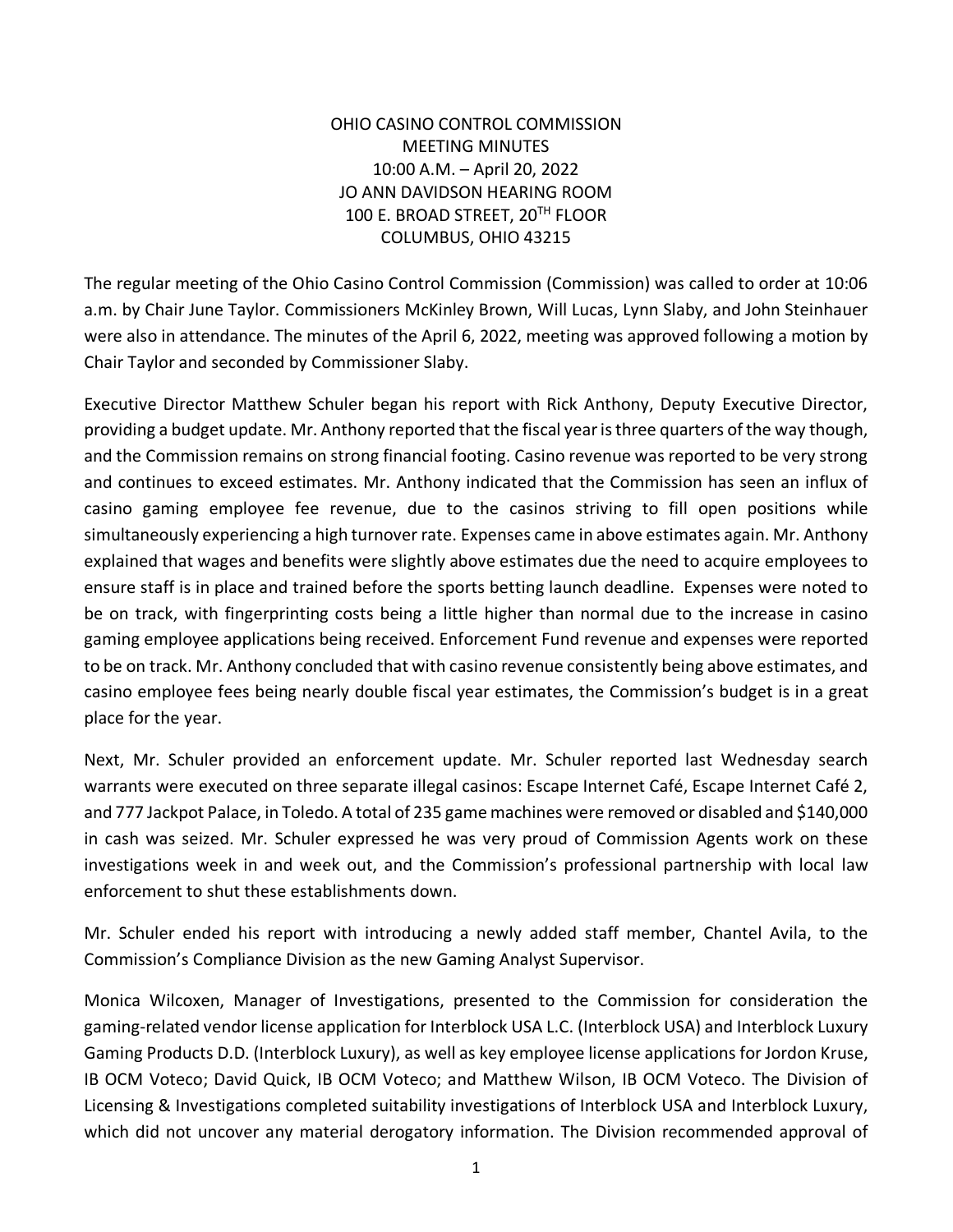## OHIO CASINO CONTROL COMMISSION MEETING MINUTES 10:00 A.M. – April 20, 2022 JO ANN DAVIDSON HEARING ROOM 100 E. BROAD STREET, 20TH FLOOR COLUMBUS, OHIO 43215

The regular meeting of the Ohio Casino Control Commission (Commission) was called to order at 10:06 a.m. by Chair June Taylor. Commissioners McKinley Brown, Will Lucas, Lynn Slaby, and John Steinhauer were also in attendance. The minutes of the April 6, 2022, meeting was approved following a motion by Chair Taylor and seconded by Commissioner Slaby.

Executive Director Matthew Schuler began his report with Rick Anthony, Deputy Executive Director, providing a budget update. Mr. Anthony reported that the fiscal year is three quarters of the way though, and the Commission remains on strong financial footing. Casino revenue was reported to be very strong and continues to exceed estimates. Mr. Anthony indicated that the Commission has seen an influx of casino gaming employee fee revenue, due to the casinos striving to fill open positions while simultaneously experiencing a high turnover rate. Expenses came in above estimates again. Mr. Anthony explained that wages and benefits were slightly above estimates due the need to acquire employees to ensure staff is in place and trained before the sports betting launch deadline. Expenses were noted to be on track, with fingerprinting costs being a little higher than normal due to the increase in casino gaming employee applications being received. Enforcement Fund revenue and expenses were reported to be on track. Mr. Anthony concluded that with casino revenue consistently being above estimates, and casino employee fees being nearly double fiscal year estimates, the Commission's budget is in a great place for the year.

Next, Mr. Schuler provided an enforcement update. Mr. Schuler reported last Wednesday search warrants were executed on three separate illegal casinos: Escape Internet Café, Escape Internet Café 2, and 777 Jackpot Palace, in Toledo. A total of 235 game machines were removed or disabled and \$140,000 in cash was seized. Mr. Schuler expressed he was very proud of Commission Agents work on these investigations week in and week out, and the Commission's professional partnership with local law enforcement to shut these establishments down.

Mr. Schuler ended his report with introducing a newly added staff member, Chantel Avila, to the Commission's Compliance Division as the new Gaming Analyst Supervisor.

Monica Wilcoxen, Manager of Investigations, presented to the Commission for consideration the gaming-related vendor license application for Interblock USA L.C. (Interblock USA) and Interblock Luxury Gaming Products D.D. (Interblock Luxury), as well as key employee license applications for Jordon Kruse, IB OCM Voteco; David Quick, IB OCM Voteco; and Matthew Wilson, IB OCM Voteco. The Division of Licensing & Investigations completed suitability investigations of Interblock USA and Interblock Luxury, which did not uncover any material derogatory information. The Division recommended approval of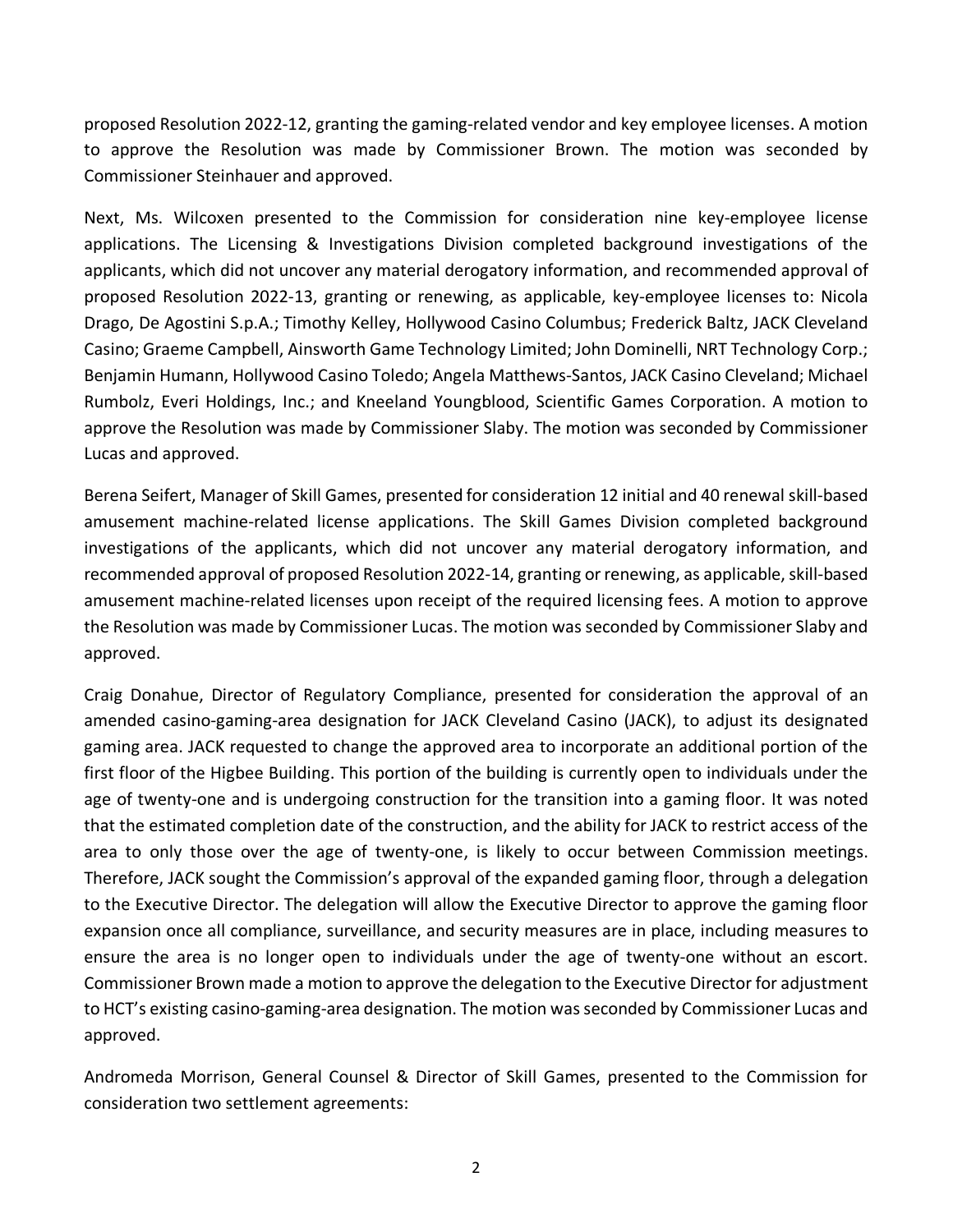proposed [Resolution 2022-12,](https://casinocontrol.ohio.gov/Portals/0/Resolutions/2022/Resolution%202022-12_Interblock_GRV%20(2)%20and%20Keys.pdf?ver=djxnJo_Z01yDfyhYI8e2rA%3d%3d) granting the gaming-related vendor and key employee licenses. A motion to approve the Resolution was made by Commissioner Brown. The motion was seconded by Commissioner Steinhauer and approved.

Next, Ms. Wilcoxen presented to the Commission for consideration nine key-employee license applications. The Licensing & Investigations Division completed background investigations of the applicants, which did not uncover any material derogatory information, and recommended approval of proposed [Resolution 2022-13,](https://casinocontrol.ohio.gov/Portals/0/Resolutions/2022/Resolution%202022-13_Key-Employee%20Licenses_April%202022.pdf?ver=XZv7BLs9xoQhpMi1t2Z-Ng%3d%3d) granting or renewing, as applicable, key-employee licenses to: Nicola Drago, De Agostini S.p.A.; Timothy Kelley, Hollywood Casino Columbus; Frederick Baltz, JACK Cleveland Casino; Graeme Campbell, Ainsworth Game Technology Limited; John Dominelli, NRT Technology Corp.; Benjamin Humann, Hollywood Casino Toledo; Angela Matthews-Santos, JACK Casino Cleveland; Michael Rumbolz, Everi Holdings, Inc.; and Kneeland Youngblood, Scientific Games Corporation. A motion to approve the Resolution was made by Commissioner Slaby. The motion was seconded by Commissioner Lucas and approved.

Berena Seifert, Manager of Skill Games, presented for consideration 12 initial and 40 renewal skill-based amusement machine-related license applications. The Skill Games Division completed background investigations of the applicants, which did not uncover any material derogatory information, and recommended approval of proposed [Resolution 2022-14,](https://casinocontrol.ohio.gov/Portals/0/Resolutions/2022/Resolution%202022-14_SBAM%20Licensure%20with%20exhibit.pdf?ver=djxnJo_Z01yDfyhYI8e2rA%3d%3d) granting or renewing, as applicable, skill-based amusement machine-related licenses upon receipt of the required licensing fees. A motion to approve the Resolution was made by Commissioner Lucas. The motion was seconded by Commissioner Slaby and approved.

Craig Donahue, Director of Regulatory Compliance, presented for consideration the approval of an amended casino-gaming-area designation for JACK Cleveland Casino (JACK), to adjust its designated gaming area. JACK requested to change the approved area to incorporate an additional portion of the first floor of the Higbee Building. This portion of the building is currently open to individuals under the age of twenty-one and is undergoing construction for the transition into a gaming floor. It was noted that the estimated completion date of the construction, and the ability for JACK to restrict access of the area to only those over the age of twenty-one, is likely to occur between Commission meetings. Therefore, JACK sought the Commission's approval of the expanded gaming floor, through a delegation to the Executive Director. The delegation will allow the Executive Director to approve the gaming floor expansion once all compliance, surveillance, and security measures are in place, including measures to ensure the area is no longer open to individuals under the age of twenty-one without an escort. Commissioner Brown made a motion to approve the delegation to the Executive Director for adjustment to HCT's existing casino-gaming-area designation. The motion was seconded by Commissioner Lucas and approved.

Andromeda Morrison, General Counsel & Director of Skill Games, presented to the Commission for consideration two settlement agreements: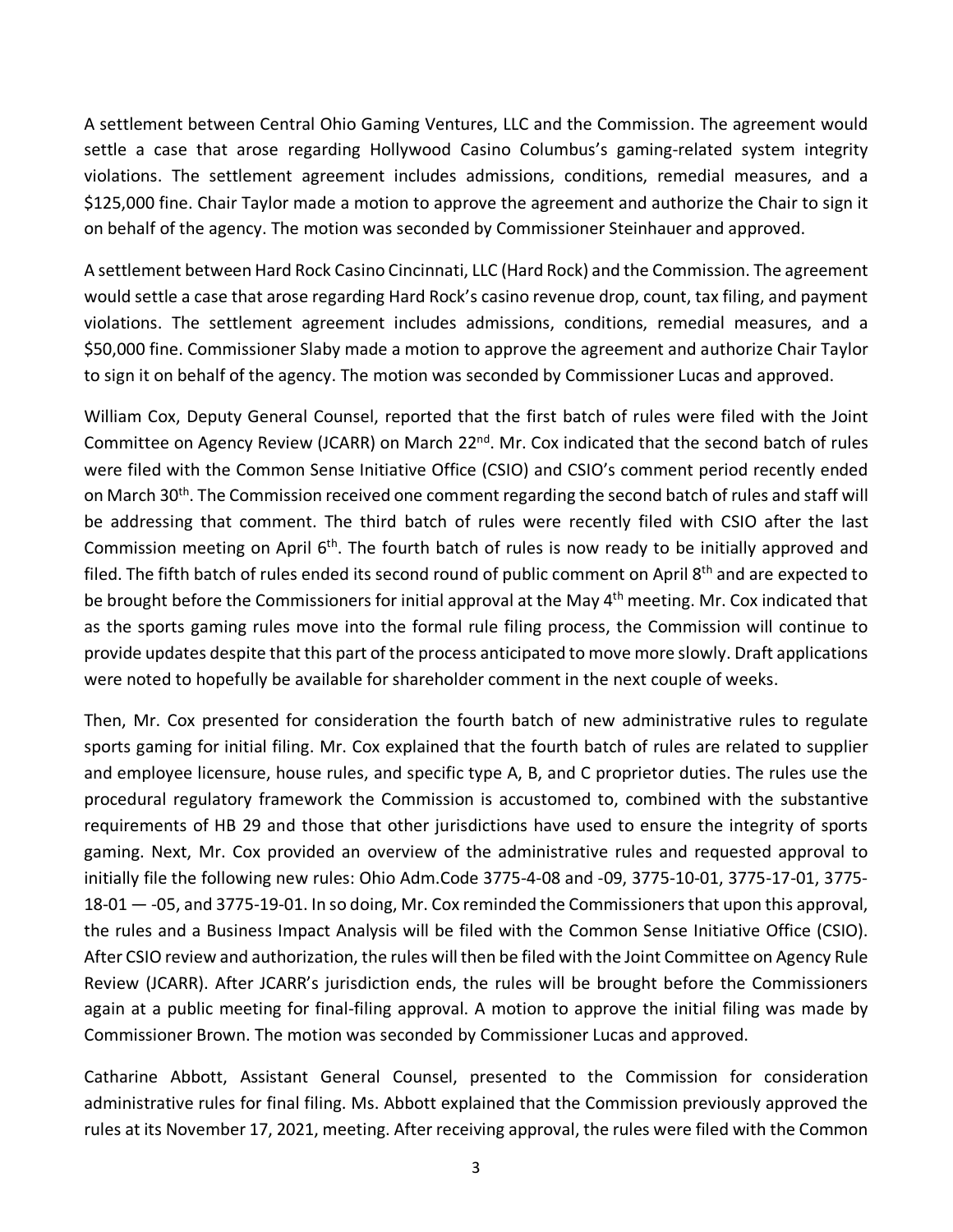A [settlement](https://casinocontrol.ohio.gov/Portals/0/Final%20Orders/Settlements/HCO%20Settlement%20Agreement%20April%202022.pdf?ver=vmfk1WyCW5a5bDku-3BqZQ%3d%3d) between Central Ohio Gaming Ventures, LLC and the Commission. The agreement would settle a case that arose regarding Hollywood Casino Columbus's gaming-related system integrity violations. The settlement agreement includes admissions, conditions, remedial measures, and a \$125,000 fine. Chair Taylor made a motion to approve the agreement and authorize the Chair to sign it on behalf of the agency. The motion was seconded by Commissioner Steinhauer and approved.

A [settlement](https://casinocontrol.ohio.gov/Portals/0/Final%20Orders/Settlements/HRCC%20-%20Settlement%20Agreement%20April%202022.pdf?ver=V58uLywfj-CzEZCNSDueyA%3d%3d) between Hard Rock Casino Cincinnati, LLC (Hard Rock) and the Commission. The agreement would settle a case that arose regarding Hard Rock's casino revenue drop, count, tax filing, and payment violations. The settlement agreement includes admissions, conditions, remedial measures, and a \$50,000 fine. Commissioner Slaby made a motion to approve the agreement and authorize Chair Taylor to sign it on behalf of the agency. The motion was seconded by Commissioner Lucas and approved.

William Cox, Deputy General Counsel, reported that the first batch of rules were filed with the Joint Committee on Agency Review (JCARR) on March 22<sup>nd</sup>. Mr. Cox indicated that the second batch of rules were filed with the Common Sense Initiative Office (CSIO) and CSIO's comment period recently ended on March 30<sup>th</sup>. The Commission received one comment regarding the second batch of rules and staff will be addressing that comment. The third batch of rules were recently filed with CSIO after the last Commission meeting on April 6<sup>th</sup>. The fourth batch of rules is now ready to be initially approved and filed. The fifth batch of rules ended its second round of public comment on April  $8<sup>th</sup>$  and are expected to be brought before the Commissioners for initial approval at the May 4<sup>th</sup> meeting. Mr. Cox indicated that as the sports gaming rules move into the formal rule filing process, the Commission will continue to provide updates despite that this part of the process anticipated to move more slowly. Draft applications were noted to hopefully be available for shareholder comment in the next couple of weeks.

Then, Mr. Cox presented for consideration the fourth batch of new administrative rules to regulate sports gaming for initial filing. Mr. Cox explained that the fourth batch of rules are related to supplier and employee licensure, house rules, and specific type A, B, and C proprietor duties. The rules use the procedural regulatory framework the Commission is accustomed to, combined with the substantive requirements of HB 29 and those that other jurisdictions have used to ensure the integrity of sports gaming. Next, Mr. Cox provided an overview of the administrative rules and requested approval to initially file the following new rules: Ohio Adm.Code 3775-4-08 and -09, 3775-10-01, 3775-17-01, 3775- 18-01 — -05, and 3775-19-01. In so doing, Mr. Cox reminded the Commissioners that upon this approval, the rules and a Business Impact Analysis will be filed with the Common Sense Initiative Office (CSIO). After CSIO review and authorization, the rules will then be filed with the Joint Committee on Agency Rule Review (JCARR). After JCARR's jurisdiction ends, the rules will be brought before the Commissioners again at a public meeting for final-filing approval. A motion to approve the initial filing was made by Commissioner Brown. The motion was seconded by Commissioner Lucas and approved.

Catharine Abbott, Assistant General Counsel, presented to the Commission for consideration administrative rules for final filing. Ms. Abbott explained that the Commission previously approved the rules at its November 17, 2021, meeting. After receiving approval, the rules were filed with the Common